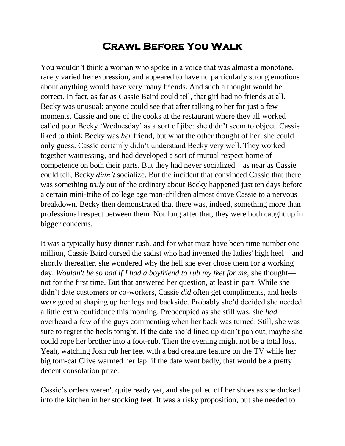## **Crawl Before You Walk**

You wouldn't think a woman who spoke in a voice that was almost a monotone, rarely varied her expression, and appeared to have no particularly strong emotions about anything would have very many friends. And such a thought would be correct. In fact, as far as Cassie Baird could tell, that girl had no friends at all. Becky was unusual: anyone could see that after talking to her for just a few moments. Cassie and one of the cooks at the restaurant where they all worked called poor Becky 'Wednesday' as a sort of jibe: she didn't seem to object. Cassie liked to think Becky was *her* friend, but what the other thought of her, she could only guess. Cassie certainly didn't understand Becky very well. They worked together waitressing, and had developed a sort of mutual respect borne of competence on both their parts. But they had never socialized—as near as Cassie could tell, Becky *didn't* socialize. But the incident that convinced Cassie that there was something *truly* out of the ordinary about Becky happened just ten days before a certain mini-tribe of college age man-children almost drove Cassie to a nervous breakdown. Becky then demonstrated that there was, indeed, something more than professional respect between them. Not long after that, they were both caught up in bigger concerns.

It was a typically busy dinner rush, and for what must have been time number one million, Cassie Baird cursed the sadist who had invented the ladies' high heel—and shortly thereafter, she wondered why the hell she ever chose them for a working day. *Wouldn't be so bad if I had a boyfriend to rub my feet for me,* she thought not for the first time. But that answered her question, at least in part. While she didn't date customers or co-workers, Cassie *did* often get compliments, and heels *were* good at shaping up her legs and backside. Probably she'd decided she needed a little extra confidence this morning. Preoccupied as she still was, she *had*  overheard a few of the guys commenting when her back was turned. Still, she was sure to regret the heels tonight. If the date she'd lined up didn't pan out, maybe she could rope her brother into a foot-rub. Then the evening might not be a total loss. Yeah, watching Josh rub her feet with a bad creature feature on the TV while her big tom-cat Clive warmed her lap: if the date went badly, that would be a pretty decent consolation prize.

Cassie's orders weren't quite ready yet, and she pulled off her shoes as she ducked into the kitchen in her stocking feet. It was a risky proposition, but she needed to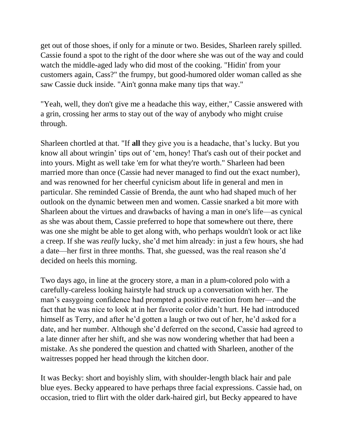get out of those shoes, if only for a minute or two. Besides, Sharleen rarely spilled. Cassie found a spot to the right of the door where she was out of the way and could watch the middle-aged lady who did most of the cooking. "Hidin' from your customers again, Cass?" the frumpy, but good-humored older woman called as she saw Cassie duck inside. "Ain't gonna make many tips that way."

"Yeah, well, they don't give me a headache this way, either," Cassie answered with a grin, crossing her arms to stay out of the way of anybody who might cruise through.

Sharleen chortled at that. "If **all** they give you is a headache, that's lucky. But you know all about wringin' tips out of 'em, honey! That's cash out of their pocket and into yours. Might as well take 'em for what they're worth." Sharleen had been married more than once (Cassie had never managed to find out the exact number), and was renowned for her cheerful cynicism about life in general and men in particular. She reminded Cassie of Brenda, the aunt who had shaped much of her outlook on the dynamic between men and women. Cassie snarked a bit more with Sharleen about the virtues and drawbacks of having a man in one's life—as cynical as she was about them, Cassie preferred to hope that somewhere out there, there was one she might be able to get along with, who perhaps wouldn't look or act like a creep. If she was *really* lucky, she'd met him already: in just a few hours, she had a date—her first in three months. That, she guessed, was the real reason she'd decided on heels this morning.

Two days ago, in line at the grocery store, a man in a plum-colored polo with a carefully-careless looking hairstyle had struck up a conversation with her. The man's easygoing confidence had prompted a positive reaction from her—and the fact that he was nice to look at in her favorite color didn't hurt. He had introduced himself as Terry, and after he'd gotten a laugh or two out of her, he'd asked for a date, and her number. Although she'd deferred on the second, Cassie had agreed to a late dinner after her shift, and she was now wondering whether that had been a mistake. As she pondered the question and chatted with Sharleen, another of the waitresses popped her head through the kitchen door.

It was Becky: short and boyishly slim, with shoulder-length black hair and pale blue eyes. Becky appeared to have perhaps three facial expressions. Cassie had, on occasion, tried to flirt with the older dark-haired girl, but Becky appeared to have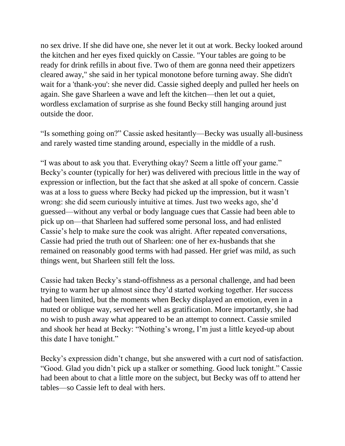no sex drive. If she did have one, she never let it out at work. Becky looked around the kitchen and her eyes fixed quickly on Cassie. "Your tables are going to be ready for drink refills in about five. Two of them are gonna need their appetizers cleared away," she said in her typical monotone before turning away. She didn't wait for a 'thank-you': she never did. Cassie sighed deeply and pulled her heels on again. She gave Sharleen a wave and left the kitchen—then let out a quiet, wordless exclamation of surprise as she found Becky still hanging around just outside the door.

"Is something going on?" Cassie asked hesitantly—Becky was usually all-business and rarely wasted time standing around, especially in the middle of a rush.

"I was about to ask you that. Everything okay? Seem a little off your game." Becky's counter (typically for her) was delivered with precious little in the way of expression or inflection, but the fact that she asked at all spoke of concern. Cassie was at a loss to guess where Becky had picked up the impression, but it wasn't wrong: she did seem curiously intuitive at times. Just two weeks ago, she'd guessed—without any verbal or body language cues that Cassie had been able to pick up on—that Sharleen had suffered some personal loss, and had enlisted Cassie's help to make sure the cook was alright. After repeated conversations, Cassie had pried the truth out of Sharleen: one of her ex-husbands that she remained on reasonably good terms with had passed. Her grief was mild, as such things went, but Sharleen still felt the loss.

Cassie had taken Becky's stand-offishness as a personal challenge, and had been trying to warm her up almost since they'd started working together. Her success had been limited, but the moments when Becky displayed an emotion, even in a muted or oblique way, served her well as gratification. More importantly, she had no wish to push away what appeared to be an attempt to connect. Cassie smiled and shook her head at Becky: "Nothing's wrong, I'm just a little keyed-up about this date I have tonight."

Becky's expression didn't change, but she answered with a curt nod of satisfaction. "Good. Glad you didn't pick up a stalker or something. Good luck tonight." Cassie had been about to chat a little more on the subject, but Becky was off to attend her tables—so Cassie left to deal with hers.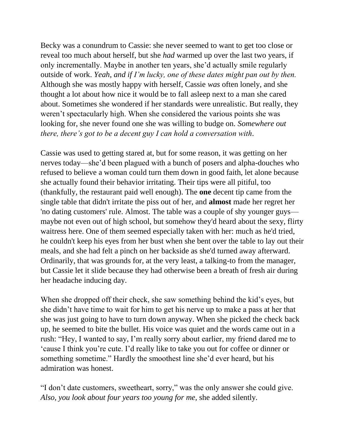Becky was a conundrum to Cassie: she never seemed to want to get too close or reveal too much about herself, but she *had* warmed up over the last two years, if only incrementally. Maybe in another ten years, she'd actually smile regularly outside of work. *Yeah, and if I'm lucky, one of these dates might pan out by then.* Although she was mostly happy with herself, Cassie *was* often lonely, and she thought a lot about how nice it would be to fall asleep next to a man she cared about. Sometimes she wondered if her standards were unrealistic. But really, they weren't spectacularly high. When she considered the various points she was looking for, she never found one she was willing to budge on. *Somewhere out there, there's got to be a decent guy I can hold a conversation with.*

Cassie was used to getting stared at, but for some reason, it was getting on her nerves today—she'd been plagued with a bunch of posers and alpha-douches who refused to believe a woman could turn them down in good faith, let alone because she actually found their behavior irritating. Their tips were all pitiful, too (thankfully, the restaurant paid well enough). The **one** decent tip came from the single table that didn't irritate the piss out of her, and **almost** made her regret her 'no dating customers' rule. Almost. The table was a couple of shy younger guys maybe not even out of high school, but somehow they'd heard about the sexy, flirty waitress here. One of them seemed especially taken with her: much as he'd tried, he couldn't keep his eyes from her bust when she bent over the table to lay out their meals, and she had felt a pinch on her backside as she'd turned away afterward. Ordinarily, that was grounds for, at the very least, a talking-to from the manager, but Cassie let it slide because they had otherwise been a breath of fresh air during her headache inducing day.

When she dropped off their check, she saw something behind the kid's eyes, but she didn't have time to wait for him to get his nerve up to make a pass at her that she was just going to have to turn down anyway. When she picked the check back up, he seemed to bite the bullet. His voice was quiet and the words came out in a rush: "Hey, I wanted to say, I'm really sorry about earlier, my friend dared me to 'cause I think you're cute. I'd really like to take you out for coffee or dinner or something sometime." Hardly the smoothest line she'd ever heard, but his admiration was honest.

"I don't date customers, sweetheart, sorry," was the only answer she could give. *Also, you look about four years too young for me,* she added silently.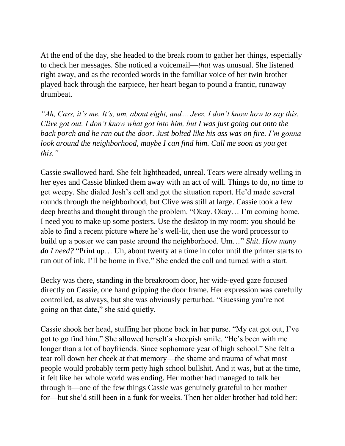At the end of the day, she headed to the break room to gather her things, especially to check her messages. She noticed a voicemail—*that* was unusual. She listened right away, and as the recorded words in the familiar voice of her twin brother played back through the earpiece, her heart began to pound a frantic, runaway drumbeat.

*"Ah, Cass, it's me. It's, um, about eight, and… Jeez, I don't know how to say this. Clive got out. I don't know what got into him, but I was just going out onto the back porch and he ran out the door. Just bolted like his ass was on fire. I'm gonna look around the neighborhood, maybe I can find him. Call me soon as you get this."*

Cassie swallowed hard. She felt lightheaded, unreal. Tears were already welling in her eyes and Cassie blinked them away with an act of will. Things to do, no time to get weepy. She dialed Josh's cell and got the situation report. He'd made several rounds through the neighborhood, but Clive was still at large. Cassie took a few deep breaths and thought through the problem. "Okay. Okay… I'm coming home. I need you to make up some posters. Use the desktop in my room: you should be able to find a recent picture where he's well-lit, then use the word processor to build up a poster we can paste around the neighborhood. Um…" *Shit. How many do I need?* "Print up… Uh, about twenty at a time in color until the printer starts to run out of ink. I'll be home in five." She ended the call and turned with a start.

Becky was there, standing in the breakroom door, her wide-eyed gaze focused directly on Cassie, one hand gripping the door frame. Her expression was carefully controlled, as always, but she was obviously perturbed. "Guessing you're not going on that date," she said quietly.

Cassie shook her head, stuffing her phone back in her purse. "My cat got out, I've got to go find him." She allowed herself a sheepish smile. "He's been with me longer than a lot of boyfriends. Since sophomore year of high school." She felt a tear roll down her cheek at that memory—the shame and trauma of what most people would probably term petty high school bullshit. And it was, but at the time, it felt like her whole world was ending. Her mother had managed to talk her through it—one of the few things Cassie was genuinely grateful to her mother for—but she'd still been in a funk for weeks. Then her older brother had told her: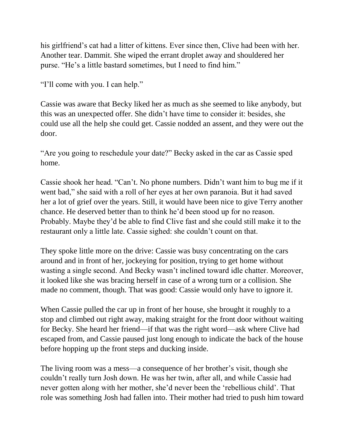his girlfriend's cat had a litter of kittens. Ever since then, Clive had been with her. Another tear. Dammit. She wiped the errant droplet away and shouldered her purse. "He's a little bastard sometimes, but I need to find him."

"I'll come with you. I can help."

Cassie was aware that Becky liked her as much as she seemed to like anybody, but this was an unexpected offer. She didn't have time to consider it: besides, she could use all the help she could get. Cassie nodded an assent, and they were out the door.

"Are you going to reschedule your date?" Becky asked in the car as Cassie sped home.

Cassie shook her head. "Can't. No phone numbers. Didn't want him to bug me if it went bad," she said with a roll of her eyes at her own paranoia. But it had saved her a lot of grief over the years. Still, it would have been nice to give Terry another chance. He deserved better than to think he'd been stood up for no reason. Probably. Maybe they'd be able to find Clive fast and she could still make it to the restaurant only a little late. Cassie sighed: she couldn't count on that.

They spoke little more on the drive: Cassie was busy concentrating on the cars around and in front of her, jockeying for position, trying to get home without wasting a single second. And Becky wasn't inclined toward idle chatter. Moreover, it looked like she was bracing herself in case of a wrong turn or a collision. She made no comment, though. That was good: Cassie would only have to ignore it.

When Cassie pulled the car up in front of her house, she brought it roughly to a stop and climbed out right away, making straight for the front door without waiting for Becky. She heard her friend—if that was the right word—ask where Clive had escaped from, and Cassie paused just long enough to indicate the back of the house before hopping up the front steps and ducking inside.

The living room was a mess—a consequence of her brother's visit, though she couldn't really turn Josh down. He was her twin, after all, and while Cassie had never gotten along with her mother, she'd never been the 'rebellious child'. That role was something Josh had fallen into. Their mother had tried to push him toward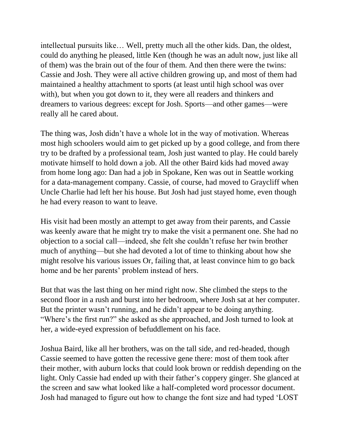intellectual pursuits like… Well, pretty much all the other kids. Dan, the oldest, could do anything he pleased, little Ken (though he was an adult now, just like all of them) was the brain out of the four of them. And then there were the twins: Cassie and Josh. They were all active children growing up, and most of them had maintained a healthy attachment to sports (at least until high school was over with), but when you got down to it, they were all readers and thinkers and dreamers to various degrees: except for Josh. Sports—and other games—were really all he cared about.

The thing was, Josh didn't have a whole lot in the way of motivation. Whereas most high schoolers would aim to get picked up by a good college, and from there try to be drafted by a professional team, Josh just wanted to play. He could barely motivate himself to hold down a job. All the other Baird kids had moved away from home long ago: Dan had a job in Spokane, Ken was out in Seattle working for a data-management company. Cassie, of course, had moved to Graycliff when Uncle Charlie had left her his house. But Josh had just stayed home, even though he had every reason to want to leave.

His visit had been mostly an attempt to get away from their parents, and Cassie was keenly aware that he might try to make the visit a permanent one. She had no objection to a social call—indeed, she felt she couldn't refuse her twin brother much of anything—but she had devoted a lot of time to thinking about how she might resolve his various issues Or, failing that, at least convince him to go back home and be her parents' problem instead of hers.

But that was the last thing on her mind right now. She climbed the steps to the second floor in a rush and burst into her bedroom, where Josh sat at her computer. But the printer wasn't running, and he didn't appear to be doing anything. "Where's the first run?" she asked as she approached, and Josh turned to look at her, a wide-eyed expression of befuddlement on his face.

Joshua Baird, like all her brothers, was on the tall side, and red-headed, though Cassie seemed to have gotten the recessive gene there: most of them took after their mother, with auburn locks that could look brown or reddish depending on the light. Only Cassie had ended up with their father's coppery ginger. She glanced at the screen and saw what looked like a half-completed word processor document. Josh had managed to figure out how to change the font size and had typed 'LOST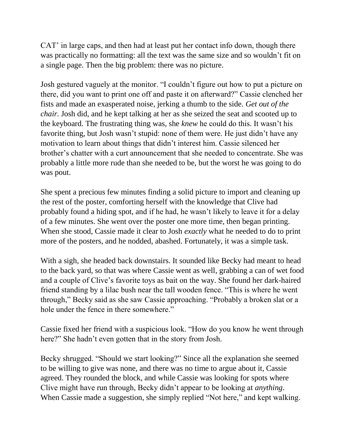CAT' in large caps, and then had at least put her contact info down, though there was practically no formatting: all the text was the same size and so wouldn't fit on a single page. Then the big problem: there was no picture.

Josh gestured vaguely at the monitor. "I couldn't figure out how to put a picture on there, did you want to print one off and paste it on afterward?" Cassie clenched her fists and made an exasperated noise, jerking a thumb to the side. *Get out of the chair.* Josh did, and he kept talking at her as she seized the seat and scooted up to the keyboard. The frustrating thing was, she *knew* he could do this. It wasn't his favorite thing, but Josh wasn't stupid: none of them were. He just didn't have any motivation to learn about things that didn't interest him. Cassie silenced her brother's chatter with a curt announcement that she needed to concentrate. She was probably a little more rude than she needed to be, but the worst he was going to do was pout.

She spent a precious few minutes finding a solid picture to import and cleaning up the rest of the poster, comforting herself with the knowledge that Clive had probably found a hiding spot, and if he had, he wasn't likely to leave it for a delay of a few minutes. She went over the poster one more time, then began printing. When she stood, Cassie made it clear to Josh *exactly* what he needed to do to print more of the posters, and he nodded, abashed. Fortunately, it was a simple task.

With a sigh, she headed back downstairs. It sounded like Becky had meant to head to the back yard, so that was where Cassie went as well, grabbing a can of wet food and a couple of Clive's favorite toys as bait on the way. She found her dark-haired friend standing by a lilac bush near the tall wooden fence. "This is where he went through," Becky said as she saw Cassie approaching. "Probably a broken slat or a hole under the fence in there somewhere."

Cassie fixed her friend with a suspicious look. "How do you know he went through here?" She hadn't even gotten that in the story from Josh.

Becky shrugged. "Should we start looking?" Since all the explanation she seemed to be willing to give was none, and there was no time to argue about it, Cassie agreed. They rounded the block, and while Cassie was looking for spots where Clive might have run through, Becky didn't appear to be looking at *anything*. When Cassie made a suggestion, she simply replied "Not here," and kept walking.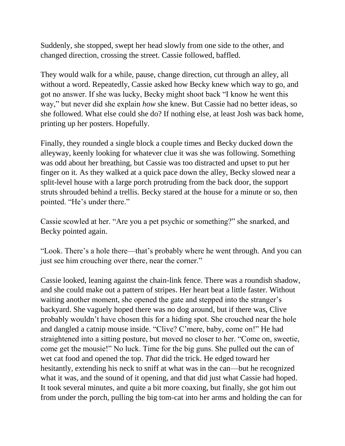Suddenly, she stopped, swept her head slowly from one side to the other, and changed direction, crossing the street. Cassie followed, baffled.

They would walk for a while, pause, change direction, cut through an alley, all without a word. Repeatedly, Cassie asked how Becky knew which way to go, and got no answer. If she was lucky, Becky might shoot back "I know he went this way," but never did she explain *how* she knew. But Cassie had no better ideas, so she followed. What else could she do? If nothing else, at least Josh was back home, printing up her posters. Hopefully.

Finally, they rounded a single block a couple times and Becky ducked down the alleyway, keenly looking for whatever clue it was she was following. Something was odd about her breathing, but Cassie was too distracted and upset to put her finger on it. As they walked at a quick pace down the alley, Becky slowed near a split-level house with a large porch protruding from the back door, the support struts shrouded behind a trellis. Becky stared at the house for a minute or so, then pointed. "He's under there."

Cassie scowled at her. "Are you a pet psychic or something?" she snarked, and Becky pointed again.

"Look. There's a hole there—that's probably where he went through. And you can just see him crouching over there, near the corner."

Cassie looked, leaning against the chain-link fence. There was a roundish shadow, and she could make out a pattern of stripes. Her heart beat a little faster. Without waiting another moment, she opened the gate and stepped into the stranger's backyard. She vaguely hoped there was no dog around, but if there was, Clive probably wouldn't have chosen this for a hiding spot. She crouched near the hole and dangled a catnip mouse inside. "Clive? C'mere, baby, come on!" He had straightened into a sitting posture, but moved no closer to her. "Come on, sweetie, come get the mousie!" No luck. Time for the big guns. She pulled out the can of wet cat food and opened the top. *That* did the trick. He edged toward her hesitantly, extending his neck to sniff at what was in the can—but he recognized what it was, and the sound of it opening, and that did just what Cassie had hoped. It took several minutes, and quite a bit more coaxing, but finally, she got him out from under the porch, pulling the big tom-cat into her arms and holding the can for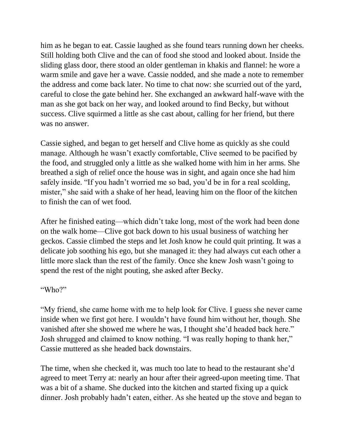him as he began to eat. Cassie laughed as she found tears running down her cheeks. Still holding both Clive and the can of food she stood and looked about. Inside the sliding glass door, there stood an older gentleman in khakis and flannel: he wore a warm smile and gave her a wave. Cassie nodded, and she made a note to remember the address and come back later. No time to chat now: she scurried out of the yard, careful to close the gate behind her. She exchanged an awkward half-wave with the man as she got back on her way, and looked around to find Becky, but without success. Clive squirmed a little as she cast about, calling for her friend, but there was no answer.

Cassie sighed, and began to get herself and Clive home as quickly as she could manage. Although he wasn't exactly comfortable, Clive seemed to be pacified by the food, and struggled only a little as she walked home with him in her arms. She breathed a sigh of relief once the house was in sight, and again once she had him safely inside. "If you hadn't worried me so bad, you'd be in for a real scolding, mister," she said with a shake of her head, leaving him on the floor of the kitchen to finish the can of wet food.

After he finished eating—which didn't take long, most of the work had been done on the walk home—Clive got back down to his usual business of watching her geckos. Cassie climbed the steps and let Josh know he could quit printing. It was a delicate job soothing his ego, but she managed it: they had always cut each other a little more slack than the rest of the family. Once she knew Josh wasn't going to spend the rest of the night pouting, she asked after Becky.

## "Who?"

"My friend, she came home with me to help look for Clive. I guess she never came inside when we first got here. I wouldn't have found him without her, though. She vanished after she showed me where he was, I thought she'd headed back here." Josh shrugged and claimed to know nothing. "I was really hoping to thank her," Cassie muttered as she headed back downstairs.

The time, when she checked it, was much too late to head to the restaurant she'd agreed to meet Terry at: nearly an hour after their agreed-upon meeting time. That was a bit of a shame. She ducked into the kitchen and started fixing up a quick dinner. Josh probably hadn't eaten, either. As she heated up the stove and began to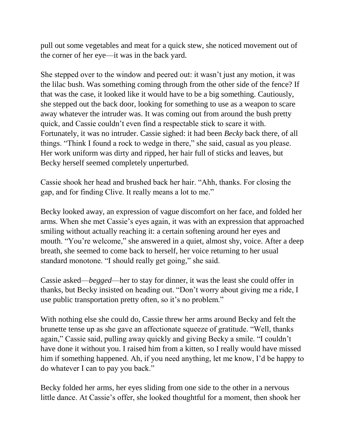pull out some vegetables and meat for a quick stew, she noticed movement out of the corner of her eye—it was in the back yard.

She stepped over to the window and peered out: it wasn't just any motion, it was the lilac bush. Was something coming through from the other side of the fence? If that was the case, it looked like it would have to be a big something. Cautiously, she stepped out the back door, looking for something to use as a weapon to scare away whatever the intruder was. It was coming out from around the bush pretty quick, and Cassie couldn't even find a respectable stick to scare it with. Fortunately, it was no intruder. Cassie sighed: it had been *Becky* back there, of all things. "Think I found a rock to wedge in there," she said, casual as you please. Her work uniform was dirty and ripped, her hair full of sticks and leaves, but Becky herself seemed completely unperturbed.

Cassie shook her head and brushed back her hair. "Ahh, thanks. For closing the gap, and for finding Clive. It really means a lot to me."

Becky looked away, an expression of vague discomfort on her face, and folded her arms. When she met Cassie's eyes again, it was with an expression that approached smiling without actually reaching it: a certain softening around her eyes and mouth. "You're welcome," she answered in a quiet, almost shy, voice. After a deep breath, she seemed to come back to herself, her voice returning to her usual standard monotone. "I should really get going," she said.

Cassie asked—*begged*—her to stay for dinner, it was the least she could offer in thanks, but Becky insisted on heading out. "Don't worry about giving me a ride, I use public transportation pretty often, so it's no problem."

With nothing else she could do, Cassie threw her arms around Becky and felt the brunette tense up as she gave an affectionate squeeze of gratitude. "Well, thanks again," Cassie said, pulling away quickly and giving Becky a smile. "I couldn't have done it without you. I raised him from a kitten, so I really would have missed him if something happened. Ah, if you need anything, let me know, I'd be happy to do whatever I can to pay you back."

Becky folded her arms, her eyes sliding from one side to the other in a nervous little dance. At Cassie's offer, she looked thoughtful for a moment, then shook her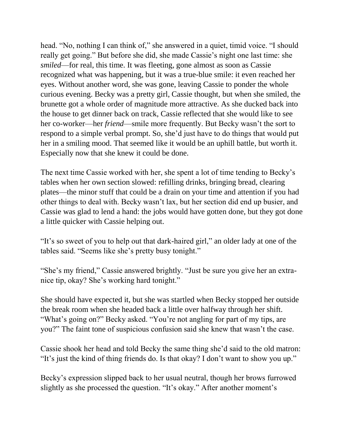head. "No, nothing I can think of," she answered in a quiet, timid voice. "I should really get going." But before she did, she made Cassie's night one last time: she *smiled*—for real, this time. It was fleeting, gone almost as soon as Cassie recognized what was happening, but it was a true-blue smile: it even reached her eyes. Without another word, she was gone, leaving Cassie to ponder the whole curious evening. Becky was a pretty girl, Cassie thought, but when she smiled, the brunette got a whole order of magnitude more attractive. As she ducked back into the house to get dinner back on track, Cassie reflected that she would like to see her co-worker—her *friend*—smile more frequently. But Becky wasn't the sort to respond to a simple verbal prompt. So, she'd just have to do things that would put her in a smiling mood. That seemed like it would be an uphill battle, but worth it. Especially now that she knew it could be done.

The next time Cassie worked with her, she spent a lot of time tending to Becky's tables when her own section slowed: refilling drinks, bringing bread, clearing plates—the minor stuff that could be a drain on your time and attention if you had other things to deal with. Becky wasn't lax, but her section did end up busier, and Cassie was glad to lend a hand: the jobs would have gotten done, but they got done a little quicker with Cassie helping out.

"It's so sweet of you to help out that dark-haired girl," an older lady at one of the tables said. "Seems like she's pretty busy tonight."

"She's my friend," Cassie answered brightly. "Just be sure you give her an extranice tip, okay? She's working hard tonight."

She should have expected it, but she was startled when Becky stopped her outside the break room when she headed back a little over halfway through her shift. "What's going on?" Becky asked. "You're not angling for part of my tips, are you?" The faint tone of suspicious confusion said she knew that wasn't the case.

Cassie shook her head and told Becky the same thing she'd said to the old matron: "It's just the kind of thing friends do. Is that okay? I don't want to show you up."

Becky's expression slipped back to her usual neutral, though her brows furrowed slightly as she processed the question. "It's okay." After another moment's